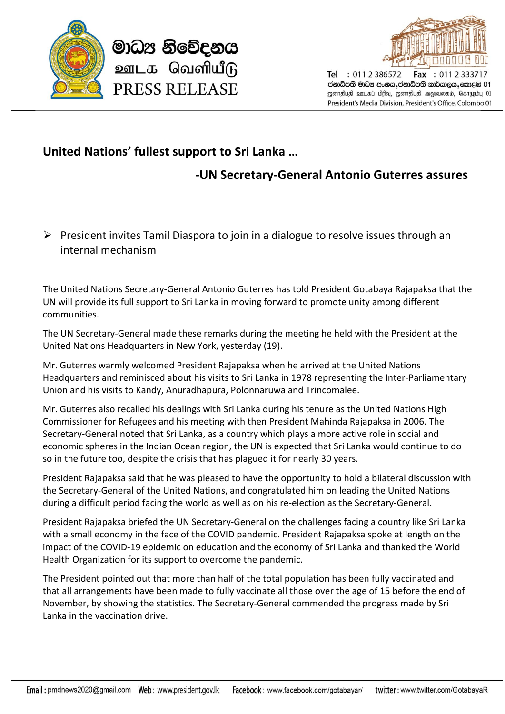

මාධය නිවේදනය ஊடக வெளியீடு PRESS RELEASE



Tel: 011 2 386572 Fax  $: 0112333$ ජනාධිපති මාධ $x$  අංශය,ජනාධිපති කාර්යාලය,කොළඹ 01 ஜனாதிபதி ஊடகப் பிரிவு, ஜனாதிபதி அலுவலகம், கொழும்பு 01 President's Media Division, President's Office, Colombo 01

## **United Nations' fullest support to Sri Lanka …**

## **-UN Secretary-General Antonio Guterres assures**

 $\triangleright$  President invites Tamil Diaspora to join in a dialogue to resolve issues through an internal mechanism

The United Nations Secretary-General Antonio Guterres has told President Gotabaya Rajapaksa that the UN will provide its full support to Sri Lanka in moving forward to promote unity among different communities.

The UN Secretary-General made these remarks during the meeting he held with the President at the United Nations Headquarters in New York, yesterday (19).

Mr. Guterres warmly welcomed President Rajapaksa when he arrived at the United Nations Headquarters and reminisced about his visits to Sri Lanka in 1978 representing the Inter-Parliamentary Union and his visits to Kandy, Anuradhapura, Polonnaruwa and Trincomalee.

Mr. Guterres also recalled his dealings with Sri Lanka during his tenure as the United Nations High Commissioner for Refugees and his meeting with then President Mahinda Rajapaksa in 2006. The Secretary-General noted that Sri Lanka, as a country which plays a more active role in social and economic spheres in the Indian Ocean region, the UN is expected that Sri Lanka would continue to do so in the future too, despite the crisis that has plagued it for nearly 30 years.

President Rajapaksa said that he was pleased to have the opportunity to hold a bilateral discussion with the Secretary-General of the United Nations, and congratulated him on leading the United Nations during a difficult period facing the world as well as on his re-election as the Secretary-General.

President Rajapaksa briefed the UN Secretary-General on the challenges facing a country like Sri Lanka with a small economy in the face of the COVID pandemic. President Rajapaksa spoke at length on the impact of the COVID-19 epidemic on education and the economy of Sri Lanka and thanked the World Health Organization for its support to overcome the pandemic.

The President pointed out that more than half of the total population has been fully vaccinated and that all arrangements have been made to fully vaccinate all those over the age of 15 before the end of November, by showing the statistics. The Secretary-General commended the progress made by Sri Lanka in the vaccination drive.